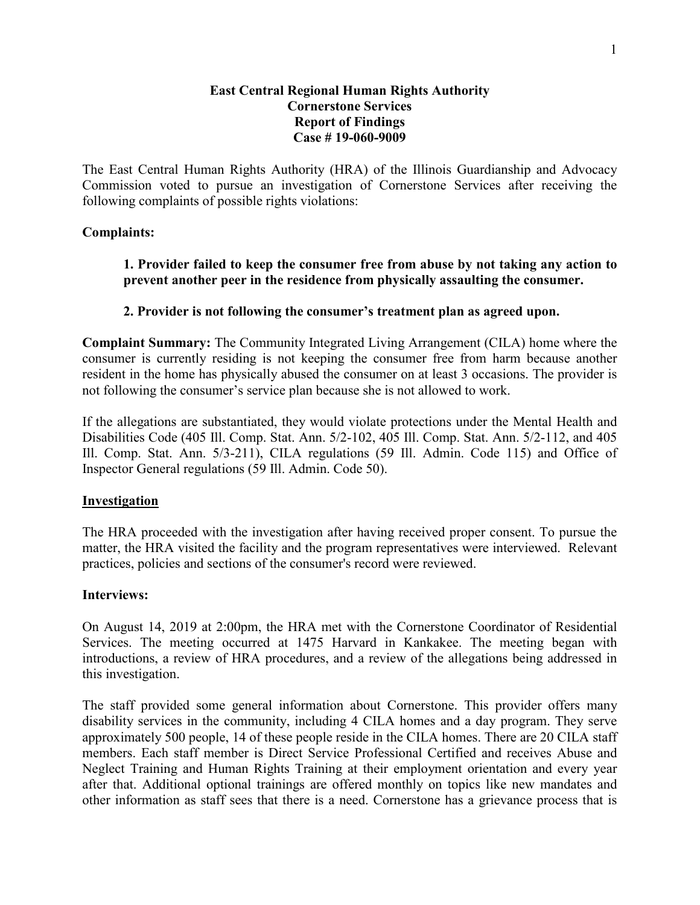## **East Central Regional Human Rights Authority Cornerstone Services Report of Findings Case # 19-060-9009**

The East Central Human Rights Authority (HRA) of the Illinois Guardianship and Advocacy Commission voted to pursue an investigation of Cornerstone Services after receiving the following complaints of possible rights violations:

## **Complaints:**

**1. Provider failed to keep the consumer free from abuse by not taking any action to prevent another peer in the residence from physically assaulting the consumer.** 

## **2. Provider is not following the consumer's treatment plan as agreed upon.**

**Complaint Summary:** The Community Integrated Living Arrangement (CILA) home where the consumer is currently residing is not keeping the consumer free from harm because another resident in the home has physically abused the consumer on at least 3 occasions. The provider is not following the consumer's service plan because she is not allowed to work.

If the allegations are substantiated, they would violate protections under the Mental Health and Disabilities Code (405 Ill. Comp. Stat. Ann. 5/2-102, 405 Ill. Comp. Stat. Ann. 5/2-112, and 405 Ill. Comp. Stat. Ann. 5/3-211), CILA regulations (59 Ill. Admin. Code 115) and Office of Inspector General regulations (59 Ill. Admin. Code 50).

## **Investigation**

The HRA proceeded with the investigation after having received proper consent. To pursue the matter, the HRA visited the facility and the program representatives were interviewed. Relevant practices, policies and sections of the consumer's record were reviewed.

## **Interviews:**

On August 14, 2019 at 2:00pm, the HRA met with the Cornerstone Coordinator of Residential Services. The meeting occurred at 1475 Harvard in Kankakee. The meeting began with introductions, a review of HRA procedures, and a review of the allegations being addressed in this investigation.

The staff provided some general information about Cornerstone. This provider offers many disability services in the community, including 4 CILA homes and a day program. They serve approximately 500 people, 14 of these people reside in the CILA homes. There are 20 CILA staff members. Each staff member is Direct Service Professional Certified and receives Abuse and Neglect Training and Human Rights Training at their employment orientation and every year after that. Additional optional trainings are offered monthly on topics like new mandates and other information as staff sees that there is a need. Cornerstone has a grievance process that is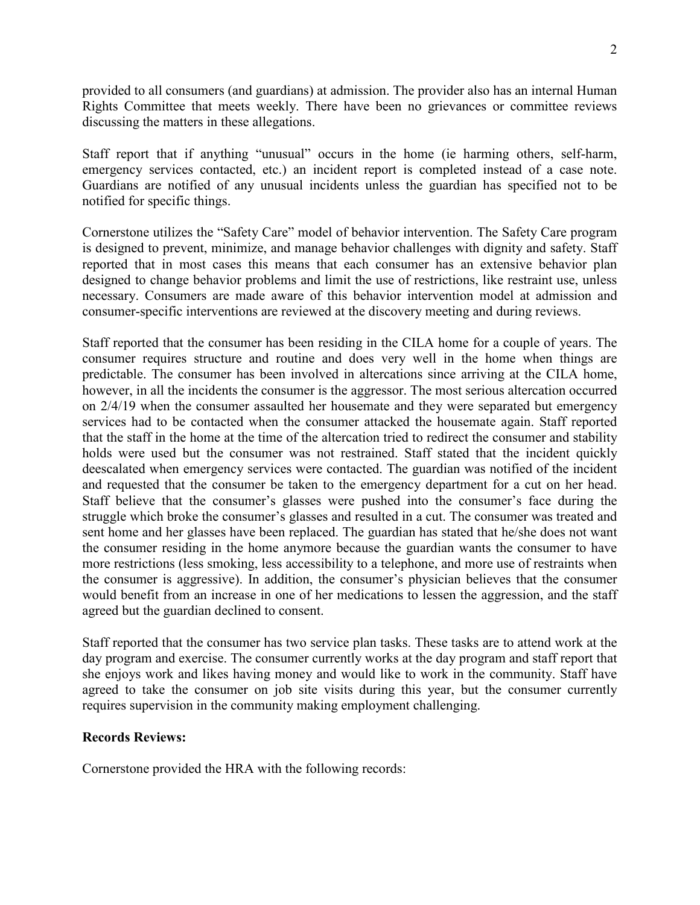provided to all consumers (and guardians) at admission. The provider also has an internal Human Rights Committee that meets weekly. There have been no grievances or committee reviews discussing the matters in these allegations.

Staff report that if anything "unusual" occurs in the home (ie harming others, self-harm, emergency services contacted, etc.) an incident report is completed instead of a case note. Guardians are notified of any unusual incidents unless the guardian has specified not to be notified for specific things.

Cornerstone utilizes the "Safety Care" model of behavior intervention. The Safety Care program is designed to prevent, minimize, and manage behavior challenges with dignity and safety. Staff reported that in most cases this means that each consumer has an extensive behavior plan designed to change behavior problems and limit the use of restrictions, like restraint use, unless necessary. Consumers are made aware of this behavior intervention model at admission and consumer-specific interventions are reviewed at the discovery meeting and during reviews.

Staff reported that the consumer has been residing in the CILA home for a couple of years. The consumer requires structure and routine and does very well in the home when things are predictable. The consumer has been involved in altercations since arriving at the CILA home, however, in all the incidents the consumer is the aggressor. The most serious altercation occurred on 2/4/19 when the consumer assaulted her housemate and they were separated but emergency services had to be contacted when the consumer attacked the housemate again. Staff reported that the staff in the home at the time of the altercation tried to redirect the consumer and stability holds were used but the consumer was not restrained. Staff stated that the incident quickly deescalated when emergency services were contacted. The guardian was notified of the incident and requested that the consumer be taken to the emergency department for a cut on her head. Staff believe that the consumer's glasses were pushed into the consumer's face during the struggle which broke the consumer's glasses and resulted in a cut. The consumer was treated and sent home and her glasses have been replaced. The guardian has stated that he/she does not want the consumer residing in the home anymore because the guardian wants the consumer to have more restrictions (less smoking, less accessibility to a telephone, and more use of restraints when the consumer is aggressive). In addition, the consumer's physician believes that the consumer would benefit from an increase in one of her medications to lessen the aggression, and the staff agreed but the guardian declined to consent.

Staff reported that the consumer has two service plan tasks. These tasks are to attend work at the day program and exercise. The consumer currently works at the day program and staff report that she enjoys work and likes having money and would like to work in the community. Staff have agreed to take the consumer on job site visits during this year, but the consumer currently requires supervision in the community making employment challenging.

## **Records Reviews:**

Cornerstone provided the HRA with the following records: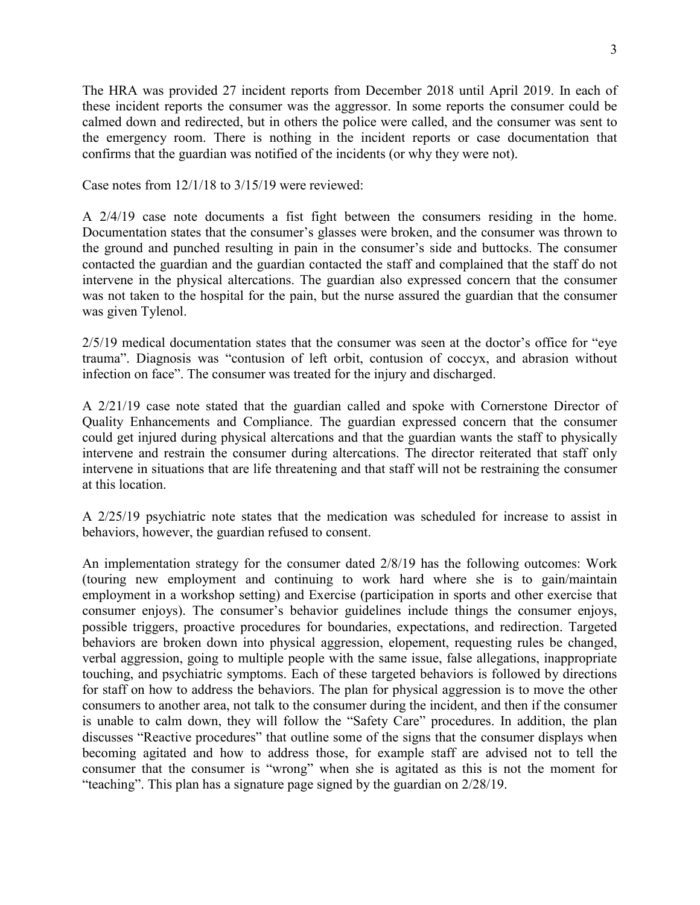The HRA was provided 27 incident reports from December 2018 until April 2019. In each of these incident reports the consumer was the aggressor. In some reports the consumer could be calmed down and redirected, but in others the police were called, and the consumer was sent to the emergency room. There is nothing in the incident reports or case documentation that confirms that the guardian was notified of the incidents (or why they were not).

Case notes from 12/1/18 to 3/15/19 were reviewed:

A 2/4/19 case note documents a fist fight between the consumers residing in the home. Documentation states that the consumer's glasses were broken, and the consumer was thrown to the ground and punched resulting in pain in the consumer's side and buttocks. The consumer contacted the guardian and the guardian contacted the staff and complained that the staff do not intervene in the physical altercations. The guardian also expressed concern that the consumer was not taken to the hospital for the pain, but the nurse assured the guardian that the consumer was given Tylenol.

2/5/19 medical documentation states that the consumer was seen at the doctor's office for "eye trauma". Diagnosis was "contusion of left orbit, contusion of coccyx, and abrasion without infection on face". The consumer was treated for the injury and discharged.

A 2/21/19 case note stated that the guardian called and spoke with Cornerstone Director of Quality Enhancements and Compliance. The guardian expressed concern that the consumer could get injured during physical altercations and that the guardian wants the staff to physically intervene and restrain the consumer during altercations. The director reiterated that staff only intervene in situations that are life threatening and that staff will not be restraining the consumer at this location.

A 2/25/19 psychiatric note states that the medication was scheduled for increase to assist in behaviors, however, the guardian refused to consent.

An implementation strategy for the consumer dated 2/8/19 has the following outcomes: Work (touring new employment and continuing to work hard where she is to gain/maintain employment in a workshop setting) and Exercise (participation in sports and other exercise that consumer enjoys). The consumer's behavior guidelines include things the consumer enjoys, possible triggers, proactive procedures for boundaries, expectations, and redirection. Targeted behaviors are broken down into physical aggression, elopement, requesting rules be changed, verbal aggression, going to multiple people with the same issue, false allegations, inappropriate touching, and psychiatric symptoms. Each of these targeted behaviors is followed by directions for staff on how to address the behaviors. The plan for physical aggression is to move the other consumers to another area, not talk to the consumer during the incident, and then if the consumer is unable to calm down, they will follow the "Safety Care" procedures. In addition, the plan discusses "Reactive procedures" that outline some of the signs that the consumer displays when becoming agitated and how to address those, for example staff are advised not to tell the consumer that the consumer is "wrong" when she is agitated as this is not the moment for "teaching". This plan has a signature page signed by the guardian on 2/28/19.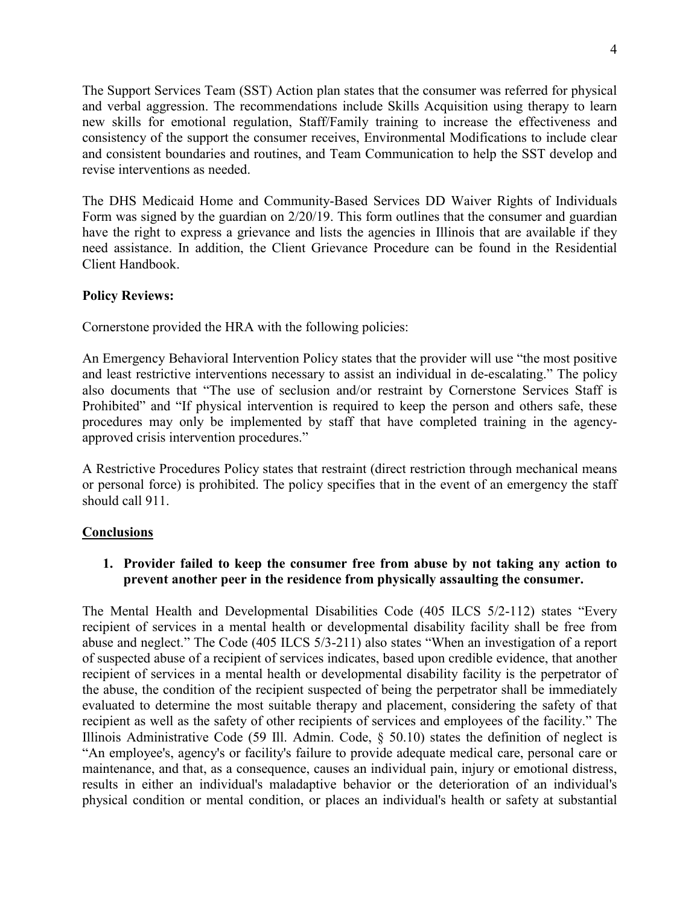The Support Services Team (SST) Action plan states that the consumer was referred for physical and verbal aggression. The recommendations include Skills Acquisition using therapy to learn new skills for emotional regulation, Staff/Family training to increase the effectiveness and consistency of the support the consumer receives, Environmental Modifications to include clear and consistent boundaries and routines, and Team Communication to help the SST develop and revise interventions as needed.

The DHS Medicaid Home and Community-Based Services DD Waiver Rights of Individuals Form was signed by the guardian on 2/20/19. This form outlines that the consumer and guardian have the right to express a grievance and lists the agencies in Illinois that are available if they need assistance. In addition, the Client Grievance Procedure can be found in the Residential Client Handbook.

# **Policy Reviews:**

Cornerstone provided the HRA with the following policies:

An Emergency Behavioral Intervention Policy states that the provider will use "the most positive and least restrictive interventions necessary to assist an individual in de-escalating." The policy also documents that "The use of seclusion and/or restraint by Cornerstone Services Staff is Prohibited" and "If physical intervention is required to keep the person and others safe, these procedures may only be implemented by staff that have completed training in the agencyapproved crisis intervention procedures."

A Restrictive Procedures Policy states that restraint (direct restriction through mechanical means or personal force) is prohibited. The policy specifies that in the event of an emergency the staff should call 911.

## **Conclusions**

# **1. Provider failed to keep the consumer free from abuse by not taking any action to prevent another peer in the residence from physically assaulting the consumer.**

The Mental Health and Developmental Disabilities Code (405 ILCS 5/2-112) states "Every recipient of services in a mental health or developmental disability facility shall be free from abuse and neglect." The Code (405 ILCS 5/3-211) also states "When an investigation of a report of suspected abuse of a recipient of services indicates, based upon credible evidence, that another recipient of services in a mental health or developmental disability facility is the perpetrator of the abuse, the condition of the recipient suspected of being the perpetrator shall be immediately evaluated to determine the most suitable therapy and placement, considering the safety of that recipient as well as the safety of other recipients of services and employees of the facility." The Illinois Administrative Code (59 Ill. Admin. Code, § 50.10) states the definition of neglect is "An employee's, agency's or facility's failure to provide adequate medical care, personal care or maintenance, and that, as a consequence, causes an individual pain, injury or emotional distress, results in either an individual's maladaptive behavior or the deterioration of an individual's physical condition or mental condition, or places an individual's health or safety at substantial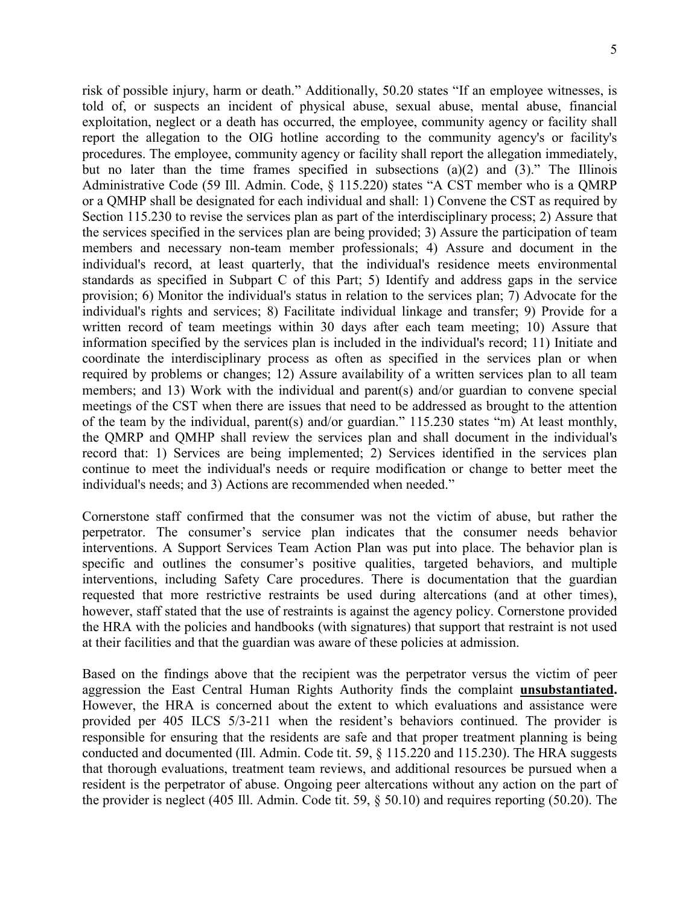risk of possible injury, harm or death." Additionally, 50.20 states "If an employee witnesses, is told of, or suspects an incident of physical abuse, sexual abuse, mental abuse, financial exploitation, neglect or a death has occurred, the employee, community agency or facility shall report the allegation to the OIG hotline according to the community agency's or facility's procedures. The employee, community agency or facility shall report the allegation immediately, but no later than the time frames specified in subsections (a)(2) and (3)." The Illinois Administrative Code (59 Ill. Admin. Code, § 115.220) states "A CST member who is a QMRP or a QMHP shall be designated for each individual and shall: 1) Convene the CST as required by Section 115.230 to revise the services plan as part of the interdisciplinary process; 2) Assure that the services specified in the services plan are being provided; 3) Assure the participation of team members and necessary non-team member professionals; 4) Assure and document in the individual's record, at least quarterly, that the individual's residence meets environmental standards as specified in Subpart C of this Part; 5) Identify and address gaps in the service provision; 6) Monitor the individual's status in relation to the services plan; 7) Advocate for the individual's rights and services; 8) Facilitate individual linkage and transfer; 9) Provide for a written record of team meetings within 30 days after each team meeting; 10) Assure that information specified by the services plan is included in the individual's record; 11) Initiate and coordinate the interdisciplinary process as often as specified in the services plan or when required by problems or changes; 12) Assure availability of a written services plan to all team members; and 13) Work with the individual and parent(s) and/or guardian to convene special meetings of the CST when there are issues that need to be addressed as brought to the attention of the team by the individual, parent(s) and/or guardian." 115.230 states "m) At least monthly, the QMRP and QMHP shall review the services plan and shall document in the individual's record that: 1) Services are being implemented; 2) Services identified in the services plan continue to meet the individual's needs or require modification or change to better meet the individual's needs; and 3) Actions are recommended when needed."

Cornerstone staff confirmed that the consumer was not the victim of abuse, but rather the perpetrator. The consumer's service plan indicates that the consumer needs behavior interventions. A Support Services Team Action Plan was put into place. The behavior plan is specific and outlines the consumer's positive qualities, targeted behaviors, and multiple interventions, including Safety Care procedures. There is documentation that the guardian requested that more restrictive restraints be used during altercations (and at other times), however, staff stated that the use of restraints is against the agency policy. Cornerstone provided the HRA with the policies and handbooks (with signatures) that support that restraint is not used at their facilities and that the guardian was aware of these policies at admission.

Based on the findings above that the recipient was the perpetrator versus the victim of peer aggression the East Central Human Rights Authority finds the complaint **unsubstantiated.** However, the HRA is concerned about the extent to which evaluations and assistance were provided per 405 ILCS 5/3-211 when the resident's behaviors continued. The provider is responsible for ensuring that the residents are safe and that proper treatment planning is being conducted and documented (Ill. Admin. Code tit. 59, § 115.220 and 115.230). The HRA suggests that thorough evaluations, treatment team reviews, and additional resources be pursued when a resident is the perpetrator of abuse. Ongoing peer altercations without any action on the part of the provider is neglect (405 Ill. Admin. Code tit. 59, § 50.10) and requires reporting (50.20). The